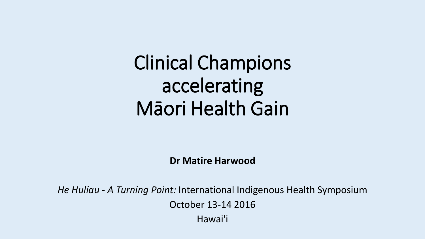## Clinical Champions accelerating Māori Health Gain

**Dr Matire Harwood**

*He Huliau - A Turning Point:* International Indigenous Health Symposium October 13-14 2016 Hawai'i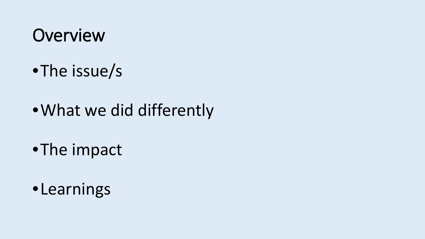## **Overview**

- •The issue/s
- •What we did differently
- •The impact
- •Learnings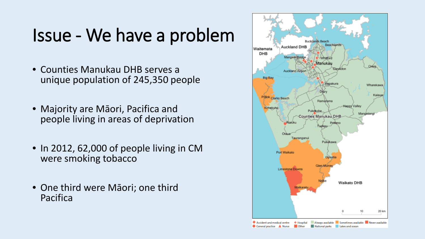## Issue - We have a problem

- Counties Manukau DHB serves a unique population of 245,350 people
- Majority are Māori, Pacifica and people living in areas of deprivation
- In 2012, 62,000 of people living in CM were smoking tobacco
- One third were Māori; one third Pacifica

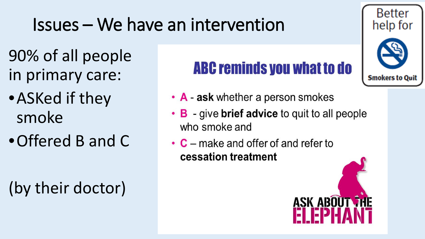## Issues – We have an intervention

- 90% of all people in primary care:
- •ASKed if they smoke
- •Offered B and C

## (by their doctor)

## **ABC reminds you what to do**

**Better** 

- A ask whether a person smokes
- **B** give **brief advice** to quit to all people  $\bullet$ who smoke and
- $\cdot$  C make and offer of and refer to cessation treatment

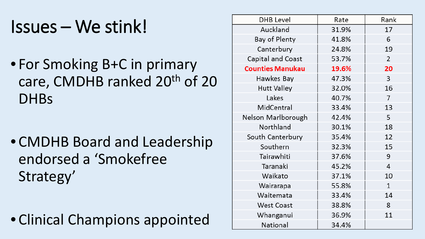## Issues – We stink!

• For Smoking B+C in primary care, CMDHB ranked 20<sup>th</sup> of 20 **DHBs** 

• CMDHB Board and Leadership endorsed a 'Smokefree Strategy'

• Clinical Champions appointed

| DHB Level               | Rate  | Rank           |
|-------------------------|-------|----------------|
| Auckland                | 31.9% | 17             |
| Bay of Plenty           | 41.8% | 6              |
| Canterbury              | 24.8% | 19             |
| Capital and Coast       | 53.7% | $\overline{2}$ |
| <b>Counties Manukau</b> | 19.6% | 20             |
| Hawkes Bay              | 47.3% | 3              |
| <b>Hutt Valley</b>      | 32.0% | 16             |
| Lakes                   | 40.7% | 7              |
| MidCentral              | 33.4% | 13             |
| Nelson Marlborough      | 42.4% | 5              |
| Northland               | 30.1% | 18             |
| South Canterbury        | 35.4% | 12             |
| Southern                | 32.3% | 15             |
| Tairawhiti              | 37.6% | 9              |
| Taranaki                | 45.2% | 4              |
| Waikato                 | 37.1% | 10             |
| Wairarapa               | 55.8% | $\mathbf{1}$   |
| Waitemata               | 33.4% | 14             |
| <b>West Coast</b>       | 38.8% | 8              |
| Whanganui               | 36.9% | 11             |
| National                | 34.4% |                |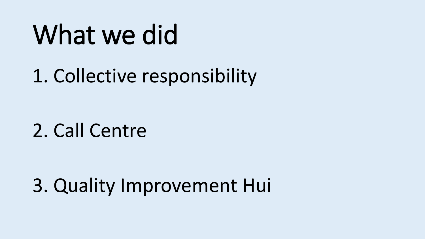# What we did

1. Collective responsibility

2. Call Centre

3. Quality Improvement Hui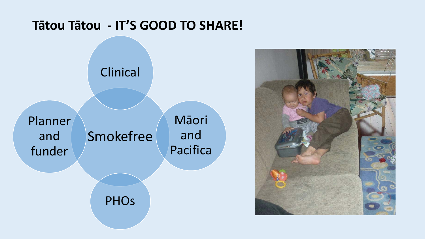#### Tātou Tātou - IT'S GOOD TO SHARE!



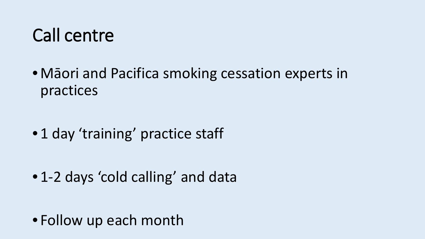## Call centre

• Māori and Pacifica smoking cessation experts in practices

• 1 day 'training' practice staff

• 1-2 days 'cold calling' and data

• Follow up each month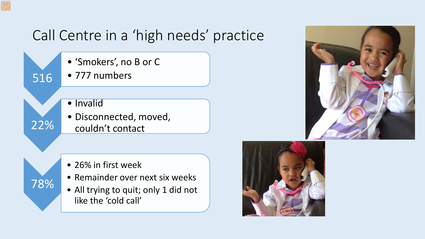### Call Centre in a 'high needs' practice

• 'Smokers', no B or C

- 777 numbers
- Invalid

516

22%

78%

• Disconnected, moved, couldn't contact

- 26% in first week
- Remainder over next six weeks
- All trying to quit; only 1 did not like the 'cold call'



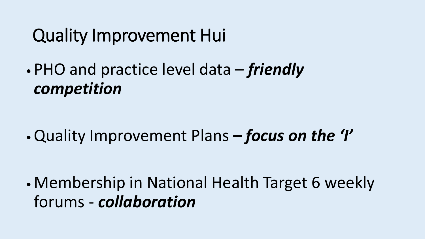## Quality Improvement Hui

•PHO and practice level data – *friendly competition*

•Quality Improvement Plans *– focus on the 'I'*

•Membership in National Health Target 6 weekly forums - *collaboration*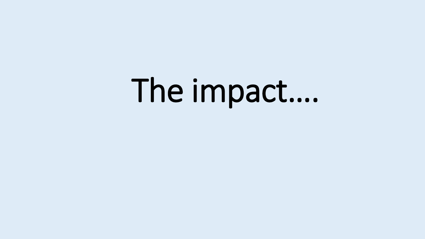# The impact....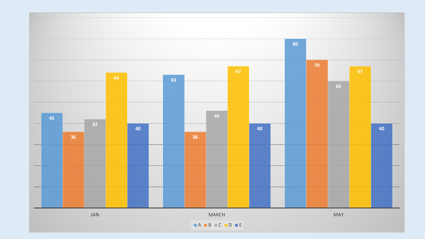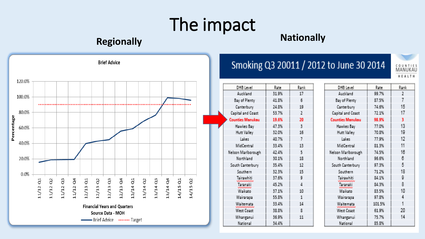## The impact

#### **Regionally Regionally Nationally**



#### Smoking Q3 20011 / 2012 to June 30 2014

| DHB Level               | Rate  | Rank         |
|-------------------------|-------|--------------|
| Auckland                | 31.9% | 17           |
| Bay of Plenty           | 41.8% | $\mathbf{E}$ |
| Canterbury              | 24.8% | 19           |
| Capital and Coast       | 53.7% | 7.           |
| <b>Counties Manukau</b> | 19.6% | 20           |
| Hawkes Bay              | 47.3% | R,           |
| Hutt Valley             | 32.0% | 16           |
| Lakes:                  | 40.7% | 7            |
| MidCentral              | 33.4% | 13           |
| Nelson Mariborough      | 42.4% | Бĵ           |
| Northland               | 30.1% | 18           |
| South Canterbury        | 35.4% | 12           |
| Southern                | 32.3% | 15           |
| siemadsiti              | 37.6% | 9            |
| i aranaki               | 45.2% | $\Delta$     |
| Waikatm                 | 37.1% | 10           |
| Wairarapa               | 55.8% | 1            |
| Waitemata               | 33.4% | 14           |
| <b>West Coast</b>       | 48.8% | 貫            |
| Whanganui               | 36.9% | 11           |
| National                | 34.4% |              |

| DHB Level               | Rate   | Rank           |
|-------------------------|--------|----------------|
| Auckland                | 99.7%  | $\overline{2}$ |
| Bay of Plenty           | 87.5%  | $\overline{I}$ |
| Canterbury              | 74.6%  | 15             |
| Capital and Coast       | 72.1%  | 17             |
| <b>Counties Manukau</b> | 98.9%  | 3              |
| Hawkes Bay              | 77.0%  | 13             |
| Hutt Valley             | 70.8%  | 19             |
| Lakes                   | 77.9%  | 12             |
| MidCentral              | 81.3%  | 11             |
| Nelson Marlborough      | 74.5%  | 16             |
| Northland               | 96.6%  | в              |
| South Canterbury        | 97.3%  | 5              |
| Southern                | 71.2%  | 18             |
| Tairawhiti              | 84.1%  | 9              |
| Taranaki                | 84.3%  | 鼎              |
| Waikatni                | 83.5%  | 10             |
| Wairarapa               | 97.8%  | 4              |
| Waitemata               | 101.5% | $\mathbf{1}$   |
| West Coast              | 61.9%  | 20             |
| Whanganui               | 75.7%  | 14             |
| National                | 85.8%  |                |
|                         |        |                |

COUNTIES<br>MANUKAU HEALTH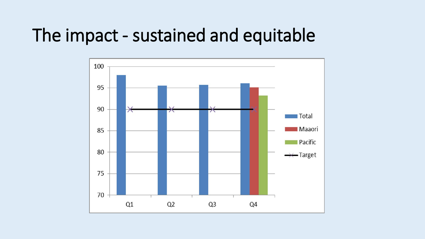## The impact - sustained and equitable

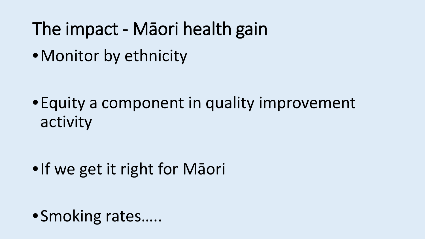- The impact Māori health gain
- •Monitor by ethnicity

•Equity a component in quality improvement activity

•If we get it right for Māori

•Smoking rates…..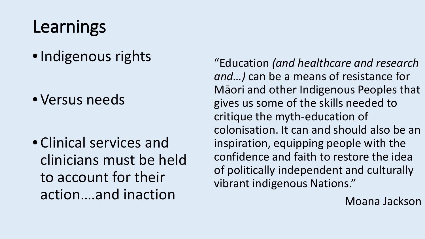## Learnings

•Indigenous rights

• Versus needs

• Clinical services and clinicians must be held to account for their action….and inaction

"Education *(and healthcare and research and…)* can be a means of resistance for Māori and other Indigenous Peoples that gives us some of the skills needed to critique the myth-education of colonisation. It can and should also be an inspiration, equipping people with the confidence and faith to restore the idea of politically independent and culturally vibrant indigenous Nations."

Moana Jackson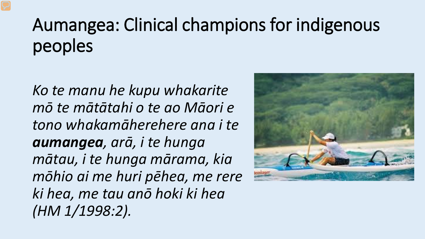## Aumangea: Clinical champions for indigenous peoples

*Ko te manu he kupu whakarite mō te mātātahi o te ao Māori e tono whakamāherehere ana i te aumangea, arā, i te hunga mātau, i te hunga mārama, kia mōhio ai me huri pēhea, me rere ki hea, me tau anō hoki ki hea (HM 1/1998:2).*

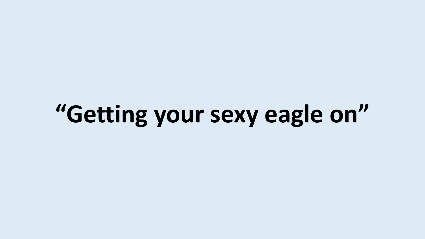# **"Getting your sexy eagle on"**